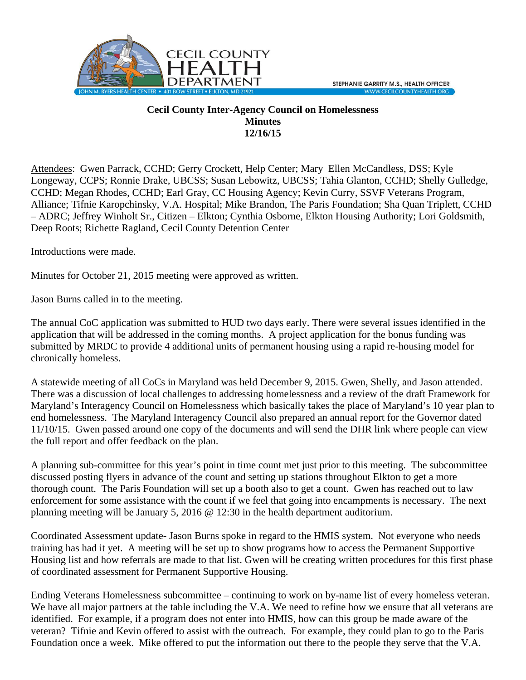

## **Cecil County Inter-Agency Council on Homelessness Minutes 12/16/15**

Attendees: Gwen Parrack, CCHD; Gerry Crockett, Help Center; Mary Ellen McCandless, DSS; Kyle Longeway, CCPS; Ronnie Drake, UBCSS; Susan Lebowitz, UBCSS; Tahia Glanton, CCHD; Shelly Gulledge, CCHD; Megan Rhodes, CCHD; Earl Gray, CC Housing Agency; Kevin Curry, SSVF Veterans Program, Alliance; Tifnie Karopchinsky, V.A. Hospital; Mike Brandon, The Paris Foundation; Sha Quan Triplett, CCHD – ADRC; Jeffrey Winholt Sr., Citizen – Elkton; Cynthia Osborne, Elkton Housing Authority; Lori Goldsmith, Deep Roots; Richette Ragland, Cecil County Detention Center

Introductions were made.

Minutes for October 21, 2015 meeting were approved as written.

Jason Burns called in to the meeting.

The annual CoC application was submitted to HUD two days early. There were several issues identified in the application that will be addressed in the coming months. A project application for the bonus funding was submitted by MRDC to provide 4 additional units of permanent housing using a rapid re-housing model for chronically homeless.

A statewide meeting of all CoCs in Maryland was held December 9, 2015. Gwen, Shelly, and Jason attended. There was a discussion of local challenges to addressing homelessness and a review of the draft Framework for Maryland's Interagency Council on Homelessness which basically takes the place of Maryland's 10 year plan to end homelessness. The Maryland Interagency Council also prepared an annual report for the Governor dated 11/10/15. Gwen passed around one copy of the documents and will send the DHR link where people can view the full report and offer feedback on the plan.

A planning sub-committee for this year's point in time count met just prior to this meeting. The subcommittee discussed posting flyers in advance of the count and setting up stations throughout Elkton to get a more thorough count. The Paris Foundation will set up a booth also to get a count. Gwen has reached out to law enforcement for some assistance with the count if we feel that going into encampments is necessary. The next planning meeting will be January 5, 2016 @ 12:30 in the health department auditorium.

Coordinated Assessment update- Jason Burns spoke in regard to the HMIS system. Not everyone who needs training has had it yet. A meeting will be set up to show programs how to access the Permanent Supportive Housing list and how referrals are made to that list. Gwen will be creating written procedures for this first phase of coordinated assessment for Permanent Supportive Housing.

Ending Veterans Homelessness subcommittee – continuing to work on by-name list of every homeless veteran. We have all major partners at the table including the V.A. We need to refine how we ensure that all veterans are identified. For example, if a program does not enter into HMIS, how can this group be made aware of the veteran? Tifnie and Kevin offered to assist with the outreach. For example, they could plan to go to the Paris Foundation once a week. Mike offered to put the information out there to the people they serve that the V.A.